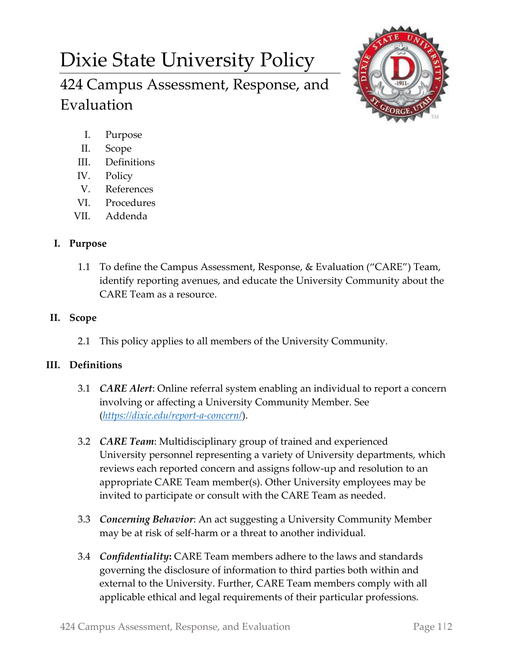# Dixie State University Policy

424 Campus Assessment, Response, and Evaluation



- I. Purpose
- II. Scope
- III. Definitions
- IV. Policy
- V. References
- VI. Procedures
- VII. Addenda

# **I. Purpose**

1.1 To define the Campus Assessment, Response, & Evaluation ("CARE") Team, identify reporting avenues, and educate the University Community about the CARE Team as a resource.

# **II. Scope**

2.1 This policy applies to all members of the University Community.

# **III. Definitions**

- 3.1 *CARE Alert*: Online referral system enabling an individual to report a concern involving or affecting a University Community Member. See (*<https://dixie.edu/report-a-concern/>*).
- 3.2 *CARE Team*: Multidisciplinary group of trained and experienced University personnel representing a variety of University departments, which reviews each reported concern and assigns follow-up and resolution to an appropriate CARE Team member(s). Other University employees may be invited to participate or consult with the CARE Team as needed.
- 3.3 *Concerning Behavior*: An act suggesting a University Community Member may be at risk of self-harm or a threat to another individual.
- 3.4 *Confidentiality***:** CARE Team members adhere to the laws and standards governing the disclosure of information to third parties both within and external to the University. Further, CARE Team members comply with all applicable ethical and legal requirements of their particular professions.